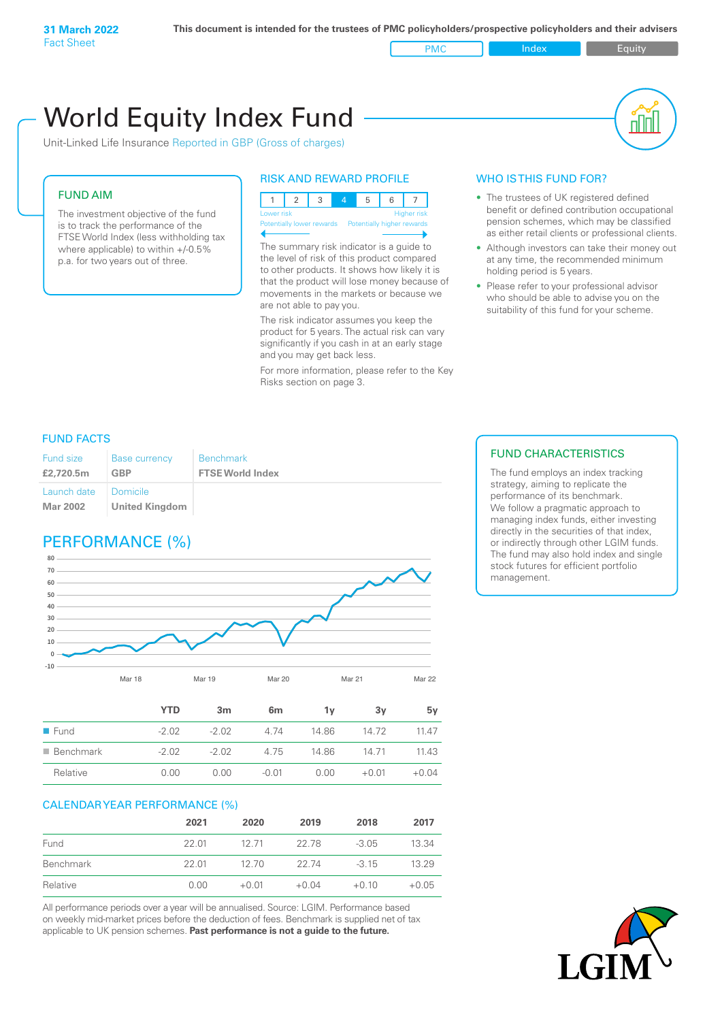PMC Index PMC Equity

# Unit-Linked Life Insurance Reported in GBP (Gross of charges) World Equity Index Fund

## FUND AIM

The investment objective of the fund is to track the performance of the FTSE World Index (less withholding tax where applicable) to within +/-0.5% p.a. for two years out of three.

## RISK AND REWARD PROFILE



Potentially lower rewards Potentially higher rewards

The summary risk indicator is a guide to the level of risk of this product compared to other products. It shows how likely it is that the product will lose money because of movements in the markets or because we are not able to pay you.

The risk indicator assumes you keep the product for 5 years. The actual risk can vary significantly if you cash in at an early stage and you may get back less.

For more information, please refer to the Key Risks section on page 3.

## WHO IS THIS FUND FOR?

- The trustees of UK registered defined benefit or defined contribution occupational pension schemes, which may be classified as either retail clients or professional clients.
- Although investors can take their money out at any time, the recommended minimum holding period is 5 years.
- Please refer to your professional advisor who should be able to advise you on the suitability of this fund for your scheme.

## FUND FACTS

| Fund size<br>£2,720.5m | <b>Base currency</b><br><b>GBP</b> | <b>Benchmark</b><br><b>FTSE World Index</b> |
|------------------------|------------------------------------|---------------------------------------------|
| Launch date   Domicile |                                    |                                             |
| Mar 2002               | <b>United Kingdom</b>              |                                             |

## PERFORMANCE (%)



|                          | <b>YTD</b> | 3m      | 6 <sub>m</sub> | 1v    | 3v      | 5v      |
|--------------------------|------------|---------|----------------|-------|---------|---------|
| $\blacksquare$ Fund      | $-2.02$    | $-2.02$ | 4 74           | 14.86 | 14.72   | 11 47   |
| $\blacksquare$ Benchmark | $-2.02$    | $-202$  | 4.75           | 14.86 | 14 71   | 11.43   |
| Relative                 | 0.00       | 0.00    | $-0.01$        | 0.00  | $+0.01$ | $+0.04$ |

## CALENDAR YEAR PERFORMANCE (%)

|           | 2021  | 2020    | 2019    | 2018    | 2017    |
|-----------|-------|---------|---------|---------|---------|
| Fund      | 22 01 | 12.71   | 22.78   | $-3.05$ | 13.34   |
| Benchmark | 22.01 | 12.70   | 22.74   | $-315$  | 13.29   |
| Relative  | 0.00  | $+0.01$ | $+0.04$ | $+0.10$ | $+0.05$ |

All performance periods over a year will be annualised. Source: LGIM. Performance based on weekly mid-market prices before the deduction of fees. Benchmark is supplied net of tax applicable to UK pension schemes. **Past performance is not a guide to the future.**

## FUND CHARACTERISTICS

The fund employs an index tracking strategy, aiming to replicate the performance of its benchmark. We follow a pragmatic approach to managing index funds, either investing directly in the securities of that index, or indirectly through other LGIM funds. The fund may also hold index and single stock futures for efficient portfolio management.

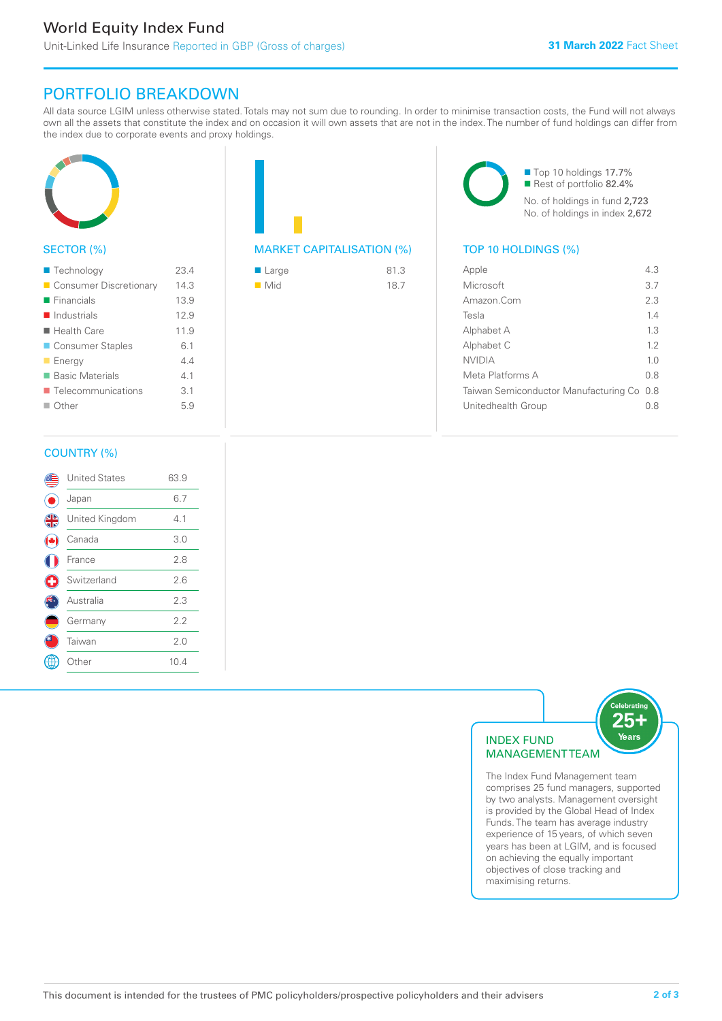# PORTFOLIO BREAKDOWN

All data source LGIM unless otherwise stated. Totals may not sum due to rounding. In order to minimise transaction costs, the Fund will not always own all the assets that constitute the index and on occasion it will own assets that are not in the index. The number of fund holdings can differ from the index due to corporate events and proxy holdings.



## SECTOR (%)

| ■ Technology               | 23.4 |
|----------------------------|------|
| Consumer Discretionary     | 14.3 |
| $\blacksquare$ Financials  | 13.9 |
| $\blacksquare$ Industrials | 12.9 |
| ■ Health Care              | 11.9 |
| ■ Consumer Staples         | 6.1  |
| <b>Energy</b>              | 44   |
| ■ Basic Materials          | 41   |
| ■ Telecommunications       | 3.1  |
| $\Box$ Other               | 5.9  |
|                            |      |

## MARKET CAPITALISATION (%) TOP 10 HOLDINGS (%)

| ■ Large            | 81.3 |
|--------------------|------|
| $\blacksquare$ Mid | 18.7 |

■ Top 10 holdings 17.7% Rest of portfolio 82.4% No. of holdings in fund 2,723 No. of holdings in index 2,672

| Apple                                     | 43             |
|-------------------------------------------|----------------|
| Microsoft                                 | 3.7            |
| Amazon.Com                                | 2.3            |
| Tesla                                     | 14             |
| Alphabet A                                | 13             |
| Alphabet C                                | 12             |
| <b>NVIDIA</b>                             | 1 <sub>0</sub> |
| Meta Platforms A                          | 0 S            |
| Taiwan Semiconductor Manufacturing Co 0.8 |                |
| Unitedhealth Group                        | 0 S            |
|                                           |                |

## COUNTRY (%)

|   | <b>United States</b> | 63.9 |  |
|---|----------------------|------|--|
|   | Japan                | 6.7  |  |
| 4 | United Kingdom       | 4.1  |  |
|   | Canada               | 3.0  |  |
|   | France               | 2.8  |  |
| O | Switzerland          | 2.6  |  |
|   | Australia            | 2.3  |  |
|   | Germany              | 2.2  |  |
|   | Taiwan               | 2.0  |  |
|   | : Other              | 10.4 |  |
|   |                      |      |  |



The Index Fund Management team comprises 25 fund managers, supported by two analysts. Management oversight is provided by the Global Head of Index Funds. The team has average industry experience of 15 years, of which seven years has been at LGIM, and is focused on achieving the equally important objectives of close tracking and maximising returns.